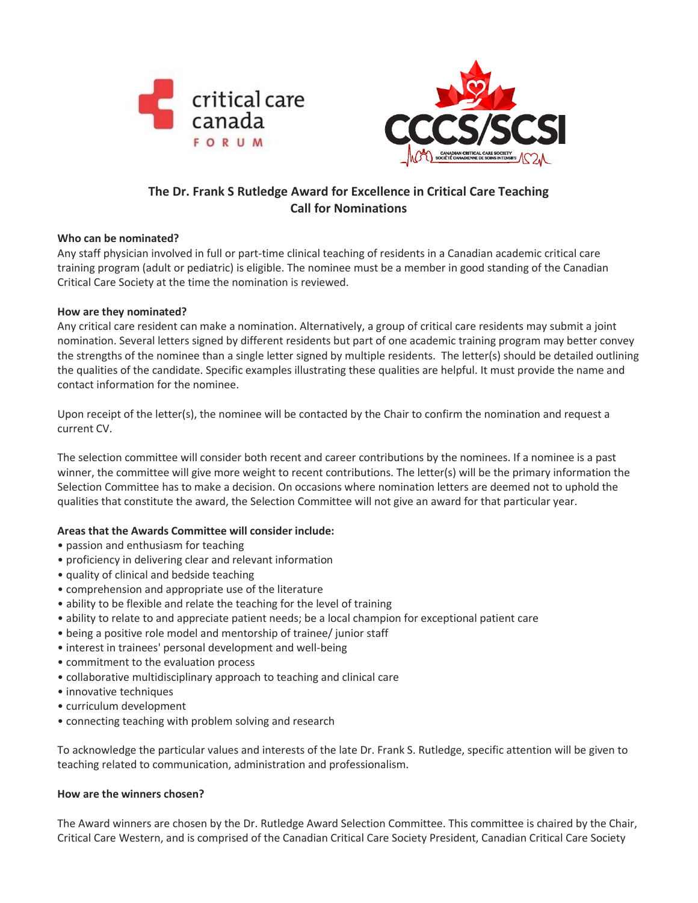



# **The Dr. Frank S Rutledge Award for Excellence in Critical Care Teaching Call for Nominations**

## **Who can be nominated?**

Any staff physician involved in full or part-time clinical teaching of residents in a Canadian academic critical care training program (adult or pediatric) is eligible. The nominee must be a member in good standing of the Canadian Critical Care Society at the time the nomination is reviewed.

## **How are they nominated?**

Any critical care resident can make a nomination. Alternatively, a group of critical care residents may submit a joint nomination. Several letters signed by different residents but part of one academic training program may better convey the strengths of the nominee than a single letter signed by multiple residents. The letter(s) should be detailed outlining the qualities of the candidate. Specific examples illustrating these qualities are helpful. It must provide the name and contact information for the nominee.

Upon receipt of the letter(s), the nominee will be contacted by the Chair to confirm the nomination and request a current CV.

The selection committee will consider both recent and career contributions by the nominees. If a nominee is a past winner, the committee will give more weight to recent contributions. The letter(s) will be the primary information the Selection Committee has to make a decision. On occasions where nomination letters are deemed not to uphold the qualities that constitute the award, the Selection Committee will not give an award for that particular year.

## **Areas that the Awards Committee will consider include:**

- passion and enthusiasm for teaching
- proficiency in delivering clear and relevant information
- quality of clinical and bedside teaching
- comprehension and appropriate use of the literature
- ability to be flexible and relate the teaching for the level of training
- ability to relate to and appreciate patient needs; be a local champion for exceptional patient care
- being a positive role model and mentorship of trainee/ junior staff
- interest in trainees' personal development and well-being
- commitment to the evaluation process
- collaborative multidisciplinary approach to teaching and clinical care
- innovative techniques
- curriculum development
- connecting teaching with problem solving and research

To acknowledge the particular values and interests of the late Dr. Frank S. Rutledge, specific attention will be given to teaching related to communication, administration and professionalism.

#### **How are the winners chosen?**

The Award winners are chosen by the Dr. Rutledge Award Selection Committee. This committee is chaired by the Chair, Critical Care Western, and is comprised of the Canadian Critical Care Society President, Canadian Critical Care Society